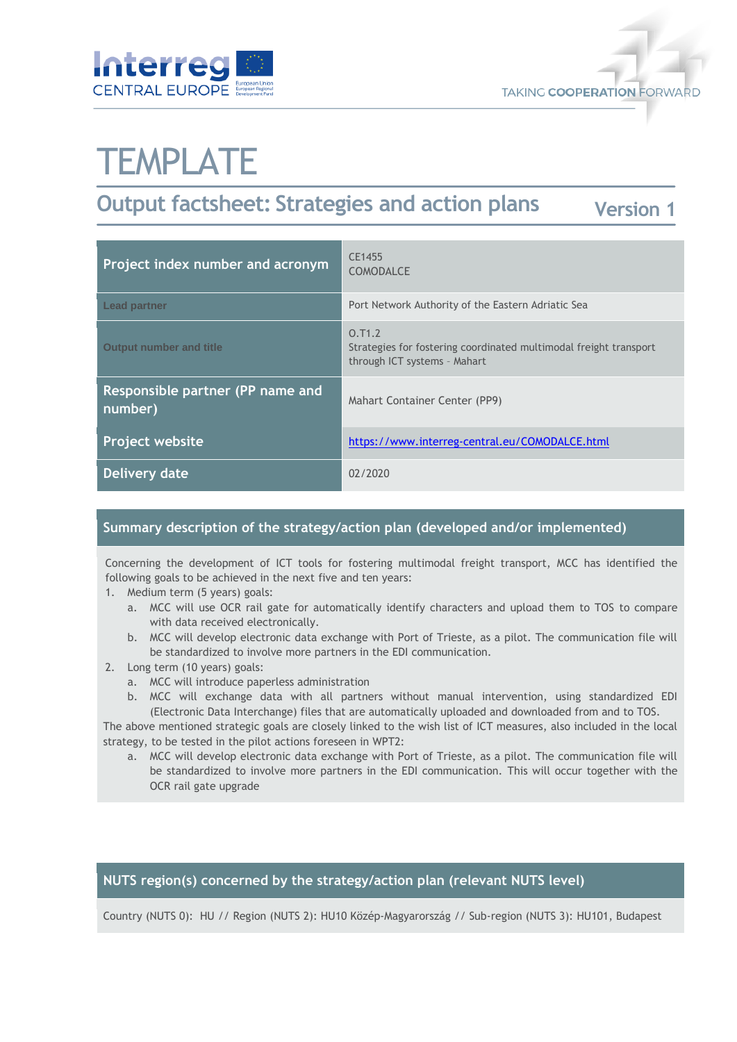



# **TEMPLATE**

#### **Output factsheet: Strategies and action plans Version 1**

| Project index number and acronym            | CE1455<br><b>COMODALCE</b>                                                                                  |
|---------------------------------------------|-------------------------------------------------------------------------------------------------------------|
| <b>Lead partner</b>                         | Port Network Authority of the Eastern Adriatic Sea                                                          |
| <b>Output number and title</b>              | 0.71.2<br>Strategies for fostering coordinated multimodal freight transport<br>through ICT systems - Mahart |
| Responsible partner (PP name and<br>number) | Mahart Container Center (PP9)                                                                               |
| <b>Project website</b>                      | https://www.interreg-central.eu/COMODALCE.html                                                              |
| Delivery date                               | 02/2020                                                                                                     |

# **Summary description of the strategy/action plan (developed and/or implemented)**

Concerning the development of ICT tools for fostering multimodal freight transport, MCC has identified the following goals to be achieved in the next five and ten years:

- 1. Medium term (5 years) goals:
	- a. MCC will use OCR rail gate for automatically identify characters and upload them to TOS to compare with data received electronically.
	- b. MCC will develop electronic data exchange with Port of Trieste, as a pilot. The communication file will be standardized to involve more partners in the EDI communication.
- 2. Long term (10 years) goals:
	- a. MCC will introduce paperless administration
	- b. MCC will exchange data with all partners without manual intervention, using standardized EDI (Electronic Data Interchange) files that are automatically uploaded and downloaded from and to TOS.

The above mentioned strategic goals are closely linked to the wish list of ICT measures, also included in the local strategy, to be tested in the pilot actions foreseen in WPT2:

a. MCC will develop electronic data exchange with Port of Trieste, as a pilot. The communication file will be standardized to involve more partners in the EDI communication. This will occur together with the OCR rail gate upgrade

### **NUTS region(s) concerned by the strategy/action plan (relevant NUTS level)**

Country (NUTS 0): HU // Region (NUTS 2): HU10 Közép-Magyarország // Sub-region (NUTS 3): HU101, Budapest